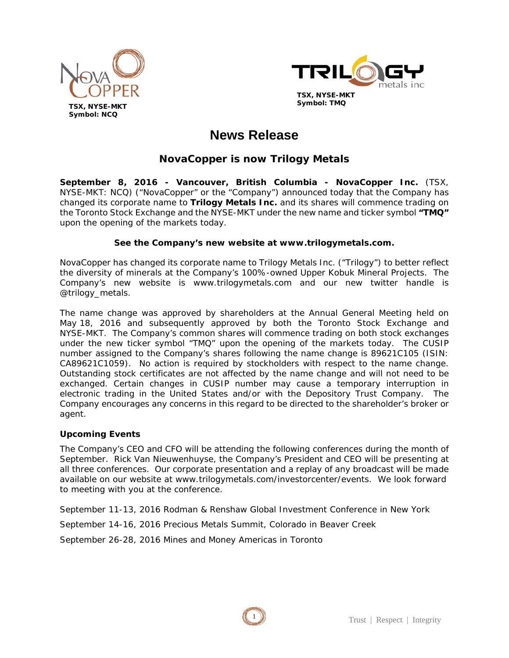



# **News Release**

# **NovaCopper is now Trilogy Metals**

**September 8, 2016 - Vancouver, British Columbia - NovaCopper Inc.** (TSX, NYSE-MKT: NCQ) ("NovaCopper" or the "Company") announced today that the Company has changed its corporate name to **Trilogy Metals Inc.** and its shares will commence trading on the Toronto Stock Exchange and the NYSE-MKT under the new name and ticker symbol **"TMQ"**  upon the opening of the markets today.

## **See the Company's new website at www.trilogymetals.com.**

NovaCopper has changed its corporate name to Trilogy Metals Inc. ("Trilogy") to better reflect the diversity of minerals at the Company's 100%-owned Upper Kobuk Mineral Projects. The Company's new website is www.trilogymetals.com and our new twitter handle is @trilogy\_metals.

The name change was approved by shareholders at the Annual General Meeting held on May 18, 2016 and subsequently approved by both the Toronto Stock Exchange and NYSE-MKT. The Company's common shares will commence trading on both stock exchanges under the new ticker symbol "TMQ" upon the opening of the markets today. The CUSIP number assigned to the Company's shares following the name change is 89621C105 (ISIN: CA89621C1059). No action is required by stockholders with respect to the name change. Outstanding stock certificates are not affected by the name change and will not need to be exchanged. Certain changes in CUSIP number may cause a temporary interruption in electronic trading in the United States and/or with the Depository Trust Company. The Company encourages any concerns in this regard to be directed to the shareholder's broker or agent.

## **Upcoming Events**

The Company's CEO and CFO will be attending the following conferences during the month of September. Rick Van Nieuwenhuyse, the Company's President and CEO will be presenting at all three conferences. Our corporate presentation and a replay of any broadcast will be made available on our website at www.trilogymetals.com/investorcenter/events. We look forward to meeting with you at the conference.

September 11-13, 2016 Rodman & Renshaw Global Investment Conference in New York

September 14-16, 2016 Precious Metals Summit, Colorado in Beaver Creek

September 26-28, 2016 Mines and Money Americas in Toronto